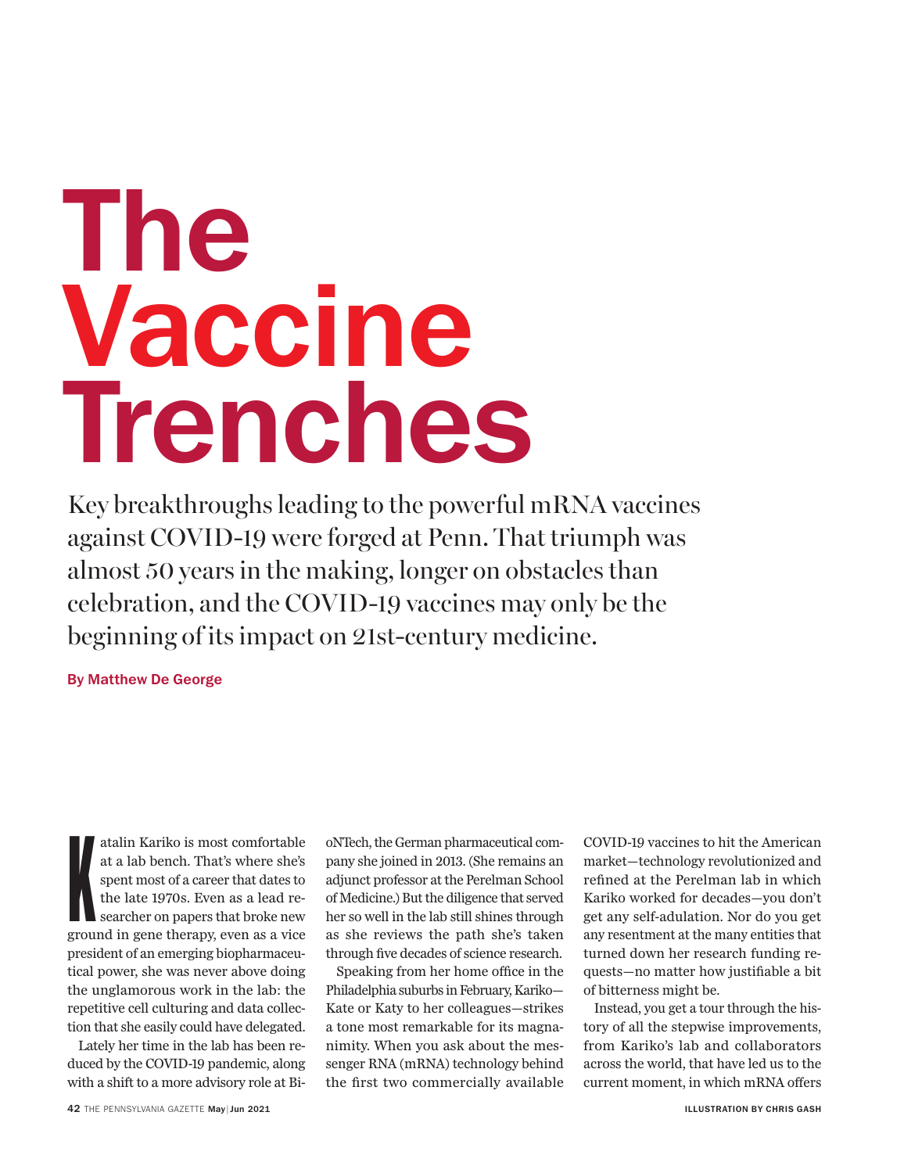# **The Vaccine Trenches**

Key breakthroughs leading to the powerful mRNA vaccines against COVID-19 were forged at Penn. That triumph was almost 50 years in the making, longer on obstacles than celebration, and the COVID-19 vaccines may only be the beginning of its impact on 21st-century medicine.

**By Matthew De George**

atalin Kariko is most comfortable<br>at a lab bench. That's where she's<br>spent most of a career that dates to<br>the late 1970s. Even as a lead re-<br>searcher on papers that broke new<br>ground in gene therapy, even as a vice atalin Kariko is most comfortable at a lab bench. That's where she's spent most of a career that dates to the late 1970s. Even as a lead researcher on papers that broke new president of an emerging biopharmaceutical power, she was never above doing the unglamorous work in the lab: the repetitive cell culturing and data collection that she easily could have delegated.

Lately her time in the lab has been reduced by the COVID-19 pandemic, along with a shift to a more advisory role at BioNTech, the German pharmaceutical company she joined in 2013. (She remains an adjunct professor at the Perelman School of Medicine.) But the diligence that served her so well in the lab still shines through as she reviews the path she's taken through five decades of science research.

Speaking from her home office in the Philadelphia suburbs in February, Kariko— Kate or Katy to her colleagues—strikes a tone most remarkable for its magnanimity. When you ask about the messenger RNA (mRNA) technology behind the first two commercially available

COVID-19 vaccines to hit the American market—technology revolutionized and refined at the Perelman lab in which Kariko worked for decades—you don't get any self-adulation. Nor do you get any resentment at the many entities that turned down her research funding requests—no matter how justifiable a bit of bitterness might be.

Instead, you get a tour through the history of all the stepwise improvements, from Kariko's lab and collaborators across the world, that have led us to the current moment, in which mRNA offers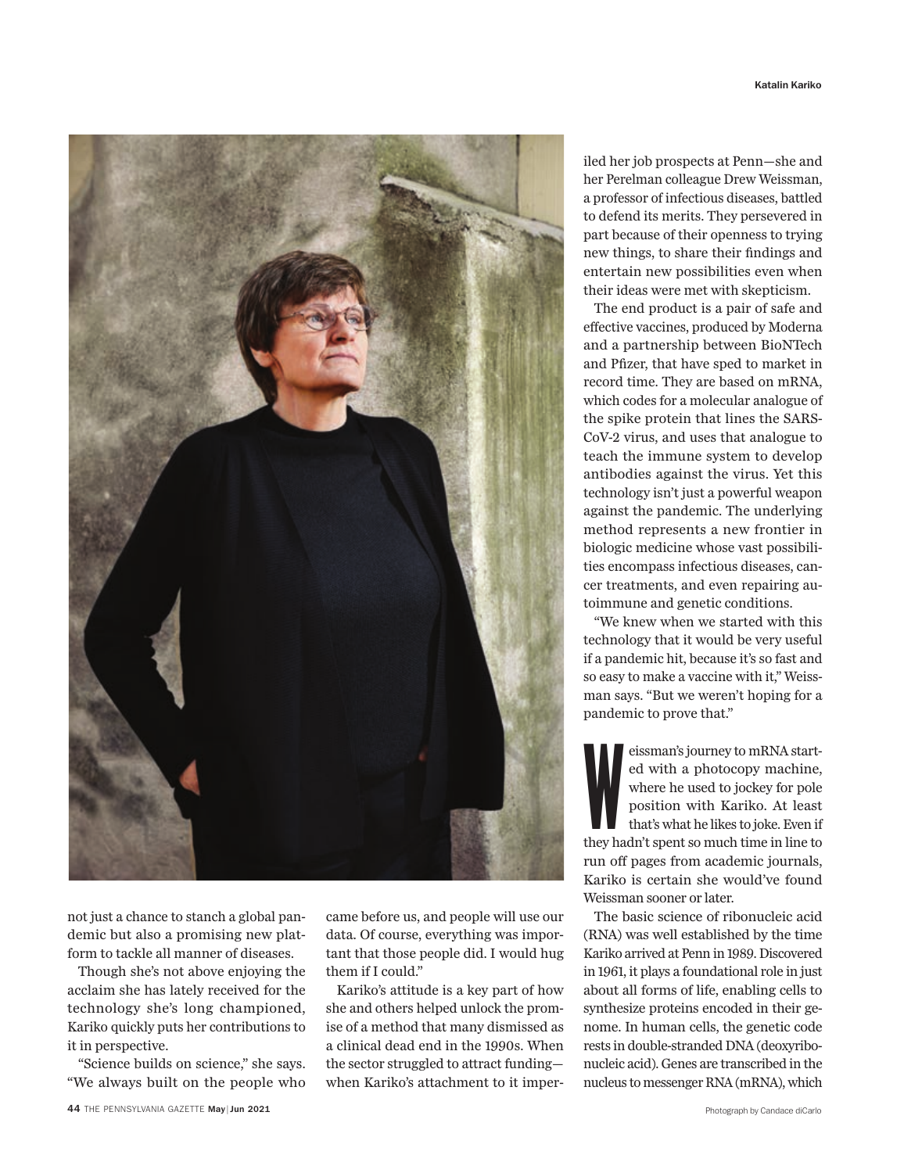

not just a chance to stanch a global pandemic but also a promising new platform to tackle all manner of diseases.

Though she's not above enjoying the acclaim she has lately received for the technology she's long championed, Kariko quickly puts her contributions to it in perspective.

"Science builds on science," she says. "We always built on the people who came before us, and people will use our data. Of course, everything was important that those people did. I would hug them if I could."

Kariko's attitude is a key part of how she and others helped unlock the promise of a method that many dismissed as a clinical dead end in the 1990s. When the sector struggled to attract funding when Kariko's attachment to it imperiled her job prospects at Penn—she and her Perelman colleague Drew Weissman, a professor of infectious diseases, battled to defend its merits. They persevered in part because of their openness to trying new things, to share their findings and entertain new possibilities even when their ideas were met with skepticism.

The end product is a pair of safe and effective vaccines, produced by Moderna and a partnership between BioNTech and Pfizer, that have sped to market in record time. They are based on mRNA, which codes for a molecular analogue of the spike protein that lines the SARS-CoV-2 virus, and uses that analogue to teach the immune system to develop antibodies against the virus. Yet this technology isn't just a powerful weapon against the pandemic. The underlying method represents a new frontier in biologic medicine whose vast possibilities encompass infectious diseases, cancer treatments, and even repairing autoimmune and genetic conditions.

"We knew when we started with this technology that it would be very useful if a pandemic hit, because it's so fast and so easy to make a vaccine with it," Weissman says. "But we weren't hoping for a pandemic to prove that."

eissman's journey to mRNA started with a photocopy machine,<br>where he used to jockey for pole<br>position with Kariko. At least<br>that's what he likes to joke. Even if<br>they hadn't spent so much time in line to eissman's journey to mRNA started with a photocopy machine, where he used to jockey for pole position with Kariko. At least that's what he likes to joke. Even if run off pages from academic journals, Kariko is certain she would've found Weissman sooner or later.

The basic science of ribonucleic acid (RNA) was well established by the time Kariko arrived at Penn in 1989. Discovered in 1961, it plays a foundational role in just about all forms of life, enabling cells to synthesize proteins encoded in their genome. In human cells, the genetic code rests in double-stranded DNA (deoxyribonucleic acid). Genes are transcribed in the nucleus to messenger RNA (mRNA), which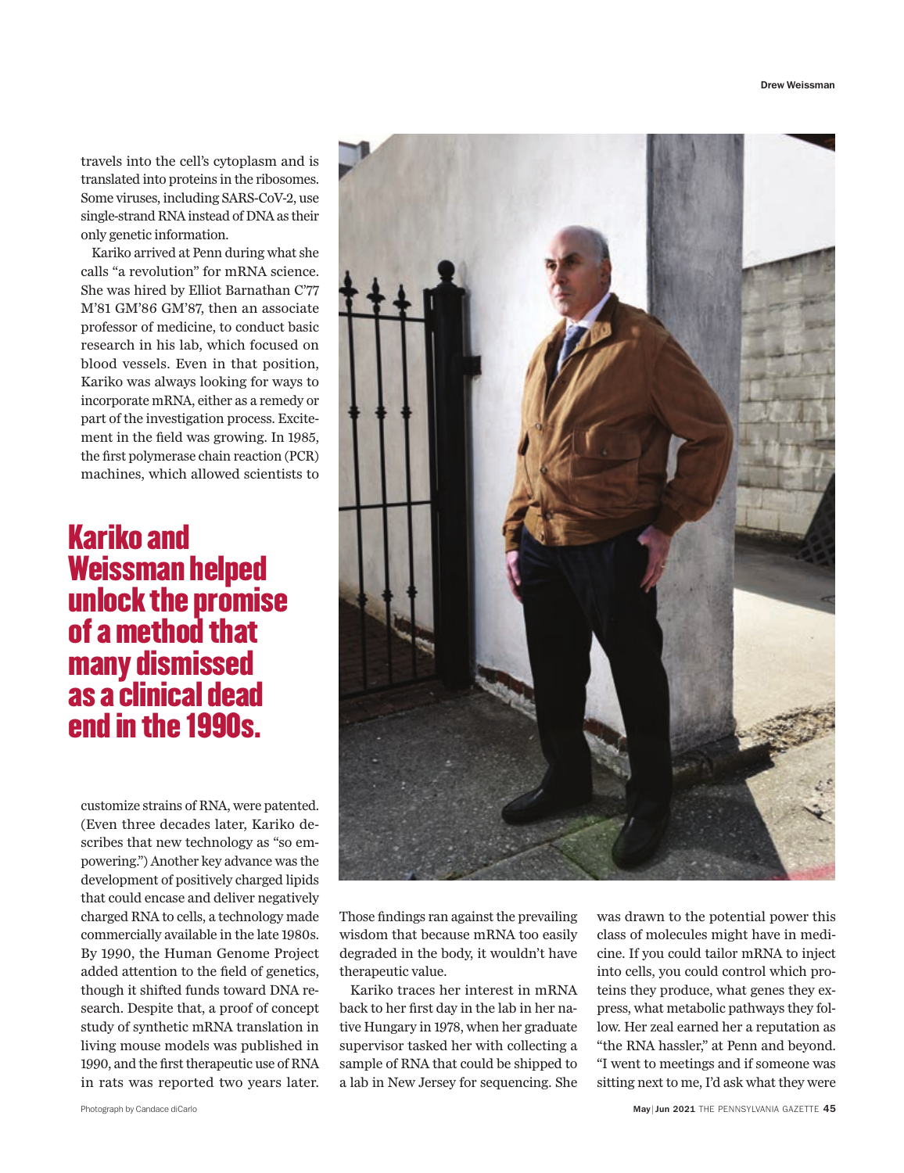travels into the cell's cytoplasm and is translated into proteins in the ribosomes. Some viruses, including SARS-CoV-2, use single-strand RNA instead of DNA as their only genetic information.

Kariko arrived at Penn during what she calls "a revolution" for mRNA science. She was hired by Elliot Barnathan C'77 M'81 GM'86 GM'87, then an associate professor of medicine, to conduct basic research in his lab, which focused on blood vessels. Even in that position, Kariko was always looking for ways to incorporate mRNA, either as a remedy or part of the investigation process. Excitement in the field was growing. In 1985, the first polymerase chain reaction (PCR) machines, which allowed scientists to

### Kariko and Weissman helped unlock the promise of a method that many dismissed as a clinical dead end in the 1990s.

customize strains of RNA, were patented. (Even three decades later, Kariko describes that new technology as "so empowering.") Another key advance was the development of positively charged lipids that could encase and deliver negatively charged RNA to cells, a technology made commercially available in the late 1980s. By 1990, the Human Genome Project added attention to the field of genetics, though it shifted funds toward DNA research. Despite that, a proof of concept study of synthetic mRNA translation in living mouse models was published in 1990, and the first therapeutic use of RNA in rats was reported two years later.



Those findings ran against the prevailing wisdom that because mRNA too easily degraded in the body, it wouldn't have therapeutic value.

Kariko traces her interest in mRNA back to her first day in the lab in her native Hungary in 1978, when her graduate supervisor tasked her with collecting a sample of RNA that could be shipped to a lab in New Jersey for sequencing. She was drawn to the potential power this class of molecules might have in medicine. If you could tailor mRNA to inject into cells, you could control which proteins they produce, what genes they express, what metabolic pathways they follow. Her zeal earned her a reputation as "the RNA hassler," at Penn and beyond. "I went to meetings and if someone was sitting next to me, I'd ask what they were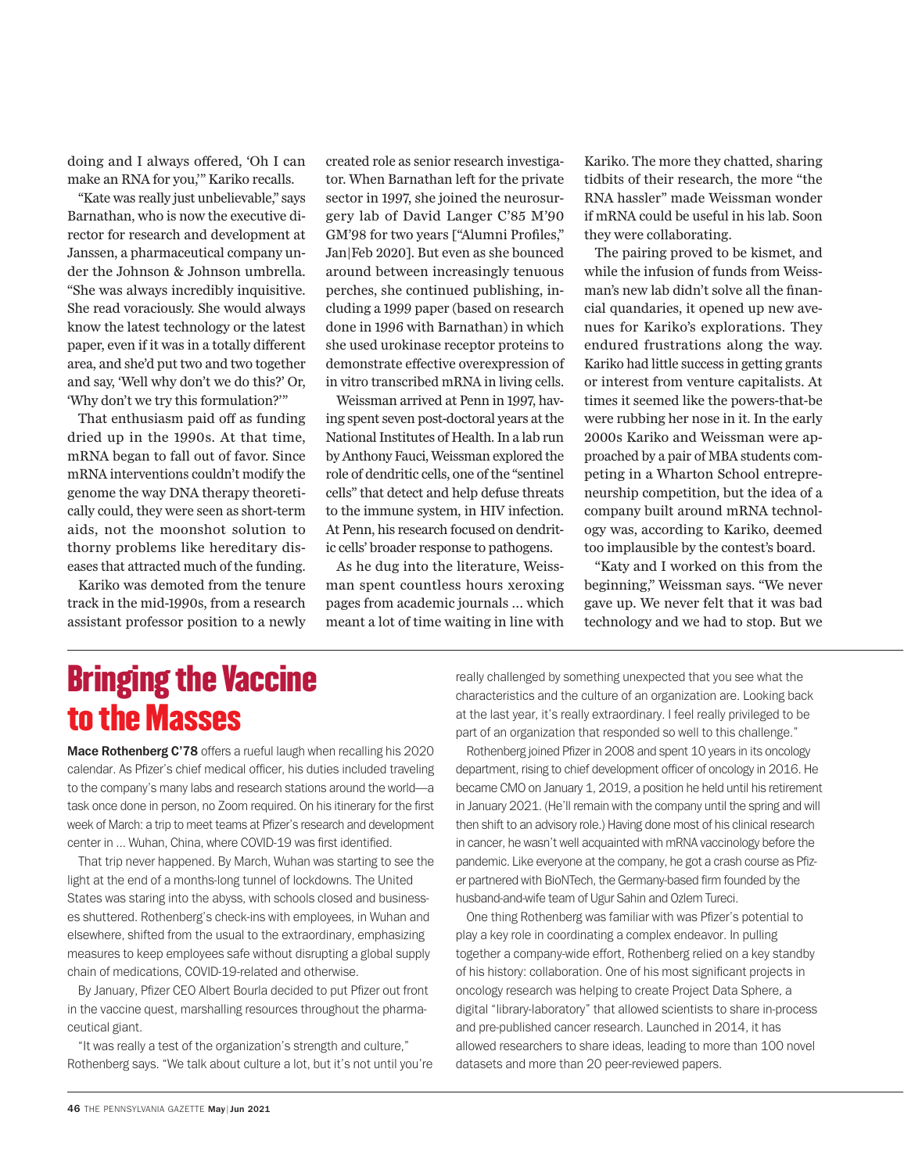doing and I always offered, 'Oh I can make an RNA for you,'" Kariko recalls.

"Kate was really just unbelievable," says Barnathan, who is now the executive director for research and development at Janssen, a pharmaceutical company under the Johnson & Johnson umbrella. "She was always incredibly inquisitive. She read voraciously. She would always know the latest technology or the latest paper, even if it was in a totally different area, and she'd put two and two together and say, 'Well why don't we do this?' Or, 'Why don't we try this formulation?'"

That enthusiasm paid off as funding dried up in the 1990s. At that time, mRNA began to fall out of favor. Since mRNA interventions couldn't modify the genome the way DNA therapy theoretically could, they were seen as short-term aids, not the moonshot solution to thorny problems like hereditary diseases that attracted much of the funding.

Kariko was demoted from the tenure track in the mid-1990s, from a research assistant professor position to a newly created role as senior research investigator. When Barnathan left for the private sector in 1997, she joined the neurosurgery lab of David Langer C'85 M'90 GM'98 for two years ["Alumni Profiles," Jan|Feb 2020]. But even as she bounced around between increasingly tenuous perches, she continued publishing, including a 1999 paper (based on research done in 1996 with Barnathan) in which she used urokinase receptor proteins to demonstrate effective overexpression of in vitro transcribed mRNA in living cells.

Weissman arrived at Penn in 1997, having spent seven post-doctoral years at the National Institutes of Health. In a lab run by Anthony Fauci, Weissman explored the role of dendritic cells, one of the "sentinel cells" that detect and help defuse threats to the immune system, in HIV infection. At Penn, his research focused on dendritic cells' broader response to pathogens.

As he dug into the literature, Weissman spent countless hours xeroxing pages from academic journals … which meant a lot of time waiting in line with Kariko. The more they chatted, sharing tidbits of their research, the more "the RNA hassler" made Weissman wonder if mRNA could be useful in his lab. Soon they were collaborating.

The pairing proved to be kismet, and while the infusion of funds from Weissman's new lab didn't solve all the financial quandaries, it opened up new avenues for Kariko's explorations. They endured frustrations along the way. Kariko had little success in getting grants or interest from venture capitalists. At times it seemed like the powers-that-be were rubbing her nose in it. In the early 2000s Kariko and Weissman were approached by a pair of MBA students competing in a Wharton School entrepreneurship competition, but the idea of a company built around mRNA technology was, according to Kariko, deemed too implausible by the contest's board.

"Katy and I worked on this from the beginning," Weissman says. "We never gave up. We never felt that it was bad technology and we had to stop. But we

# Bringing the Vaccine to the Masses

**Mace Rothenberg C'78** offers a rueful laugh when recalling his 2020 calendar. As Pfizer's chief medical officer, his duties included traveling to the company's many labs and research stations around the world—a task once done in person, no Zoom required. On his itinerary for the first week of March: a trip to meet teams at Pfizer's research and development center in ... Wuhan, China, where COVID-19 was first identified.

That trip never happened. By March, Wuhan was starting to see the light at the end of a months-long tunnel of lockdowns. The United States was staring into the abyss, with schools closed and businesses shuttered. Rothenberg's check-ins with employees, in Wuhan and elsewhere, shifted from the usual to the extraordinary, emphasizing measures to keep employees safe without disrupting a global supply chain of medications, COVID-19-related and otherwise.

By January, Pfizer CEO Albert Bourla decided to put Pfizer out front in the vaccine quest, marshalling resources throughout the pharmaceutical giant.

"It was really a test of the organization's strength and culture," Rothenberg says. "We talk about culture a lot, but it's not until you're really challenged by something unexpected that you see what the characteristics and the culture of an organization are. Looking back at the last year, it's really extraordinary. I feel really privileged to be part of an organization that responded so well to this challenge."

Rothenberg joined Pfizer in 2008 and spent 10 years in its oncology department, rising to chief development officer of oncology in 2016. He became CMO on January 1, 2019, a position he held until his retirement in January 2021. (He'll remain with the company until the spring and will then shift to an advisory role.) Having done most of his clinical research in cancer, he wasn't well acquainted with mRNA vaccinology before the pandemic. Like everyone at the company, he got a crash course as Pfizer partnered with BioNTech, the Germany-based firm founded by the husband-and-wife team of Ugur Sahin and Ozlem Tureci.

One thing Rothenberg was familiar with was Pfizer's potential to play a key role in coordinating a complex endeavor. In pulling together a company-wide effort, Rothenberg relied on a key standby of his history: collaboration. One of his most significant projects in oncology research was helping to create Project Data Sphere, a digital "library-laboratory" that allowed scientists to share in-process and pre-published cancer research. Launched in 2014, it has allowed researchers to share ideas, leading to more than 100 novel datasets and more than 20 peer-reviewed papers.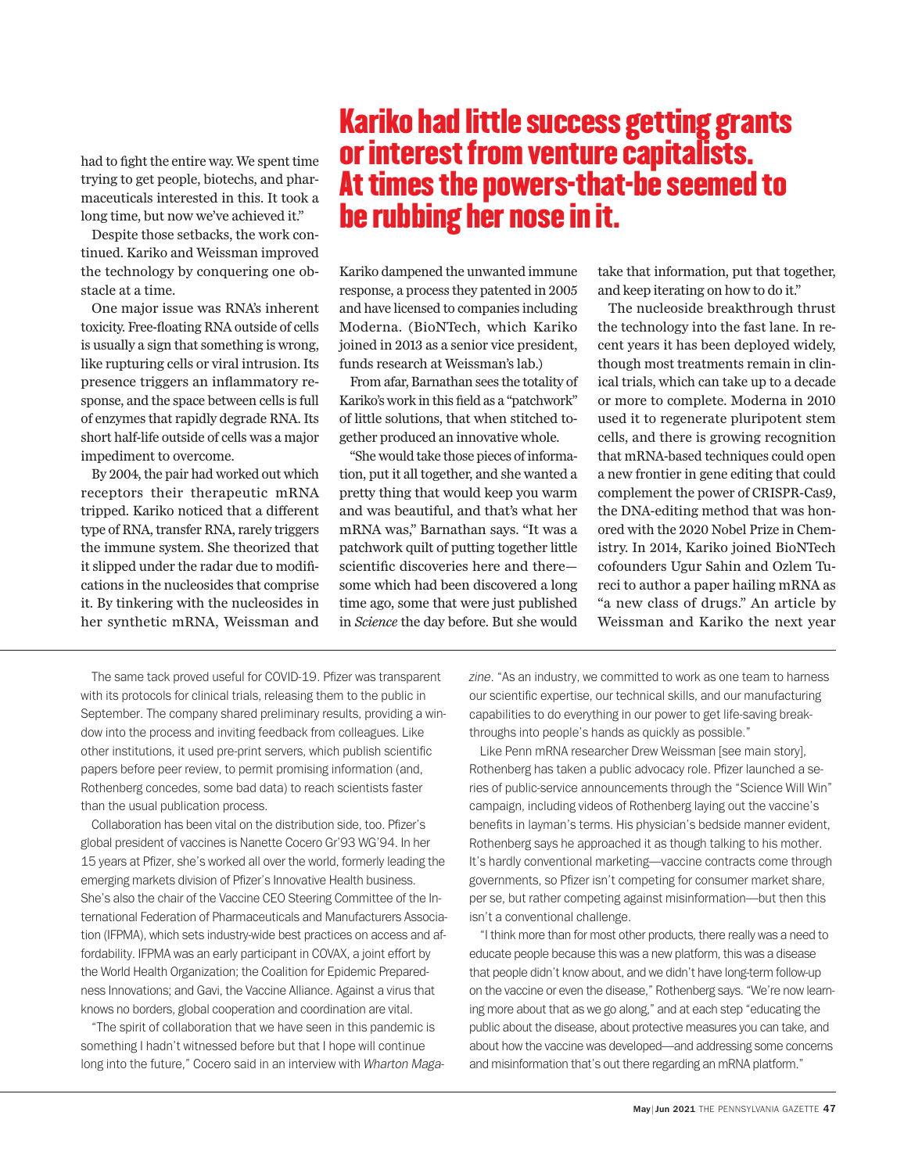had to fight the entire way. We spent time trying to get people, biotechs, and pharmaceuticals interested in this. It took a long time, but now we've achieved it."

Despite those setbacks, the work continued. Kariko and Weissman improved the technology by conquering one obstacle at a time.

One major issue was RNA's inherent toxicity. Free-floating RNA outside of cells is usually a sign that something is wrong, like rupturing cells or viral intrusion. Its presence triggers an inflammatory response, and the space between cells is full of enzymes that rapidly degrade RNA. Its short half-life outside of cells was a major impediment to overcome.

By 2004, the pair had worked out which receptors their therapeutic mRNA tripped. Kariko noticed that a different type of RNA, transfer RNA, rarely triggers the immune system. She theorized that it slipped under the radar due to modifications in the nucleosides that comprise it. By tinkering with the nucleosides in her synthetic mRNA, Weissman and

# Kariko had little success getting grants or interest from venture capitalists. At times the powers-that-be seemed to be rubbing her nose in it.

Kariko dampened the unwanted immune response, a process they patented in 2005 and have licensed to companies including Moderna. (BioNTech, which Kariko joined in 2013 as a senior vice president, funds research at Weissman's lab.)

From afar, Barnathan sees the totality of Kariko's work in this field as a "patchwork" of little solutions, that when stitched together produced an innovative whole.

"She would take those pieces of information, put it all together, and she wanted a pretty thing that would keep you warm and was beautiful, and that's what her mRNA was," Barnathan says. "It was a patchwork quilt of putting together little scientific discoveries here and theresome which had been discovered a long time ago, some that were just published in *Science* the day before. But she would

take that information, put that together, and keep iterating on how to do it."

The nucleoside breakthrough thrust the technology into the fast lane. In recent years it has been deployed widely, though most treatments remain in clinical trials, which can take up to a decade or more to complete. Moderna in 2010 used it to regenerate pluripotent stem cells, and there is growing recognition that mRNA-based techniques could open a new frontier in gene editing that could complement the power of CRISPR-Cas9, the DNA-editing method that was honored with the 2020 Nobel Prize in Chemistry. In 2014, Kariko joined BioNTech cofounders Ugur Sahin and Ozlem Tureci to author a paper hailing mRNA as "a new class of drugs." An article by Weissman and Kariko the next year

The same tack proved useful for COVID-19. Pfizer was transparent with its protocols for clinical trials, releasing them to the public in September. The company shared preliminary results, providing a window into the process and inviting feedback from colleagues. Like other institutions, it used pre-print servers, which publish scientific papers before peer review, to permit promising information (and, Rothenberg concedes, some bad data) to reach scientists faster than the usual publication process.

Collaboration has been vital on the distribution side, too. Pfizer's global president of vaccines is Nanette Cocero Gr'93 WG'94. In her 15 years at Pfizer, she's worked all over the world, formerly leading the emerging markets division of Pfizer's Innovative Health business. She's also the chair of the Vaccine CEO Steering Committee of the International Federation of Pharmaceuticals and Manufacturers Association (IFPMA), which sets industry-wide best practices on access and affordability. IFPMA was an early participant in COVAX, a joint effort by the World Health Organization; the Coalition for Epidemic Preparedness Innovations; and Gavi, the Vaccine Alliance. Against a virus that knows no borders, global cooperation and coordination are vital.

"The spirit of collaboration that we have seen in this pandemic is something I hadn't witnessed before but that I hope will continue long into the future," Cocero said in an interview with *Wharton Maga-* *zine*. "As an industry, we committed to work as one team to harness our scientific expertise, our technical skills, and our manufacturing capabilities to do everything in our power to get life-saving breakthroughs into people's hands as quickly as possible."

Like Penn mRNA researcher Drew Weissman [see main story], Rothenberg has taken a public advocacy role. Pfizer launched a series of public-service announcements through the "Science Will Win" campaign, including videos of Rothenberg laying out the vaccine's benefits in layman's terms. His physician's bedside manner evident, Rothenberg says he approached it as though talking to his mother. It's hardly conventional marketing—vaccine contracts come through governments, so Pfizer isn't competing for consumer market share, per se, but rather competing against misinformation—but then this isn't a conventional challenge.

"I think more than for most other products, there really was a need to educate people because this was a new platform, this was a disease that people didn't know about, and we didn't have long-term follow-up on the vaccine or even the disease," Rothenberg says. "We're now learning more about that as we go along," and at each step "educating the public about the disease, about protective measures you can take, and about how the vaccine was developed—and addressing some concerns and misinformation that's out there regarding an mRNA platform."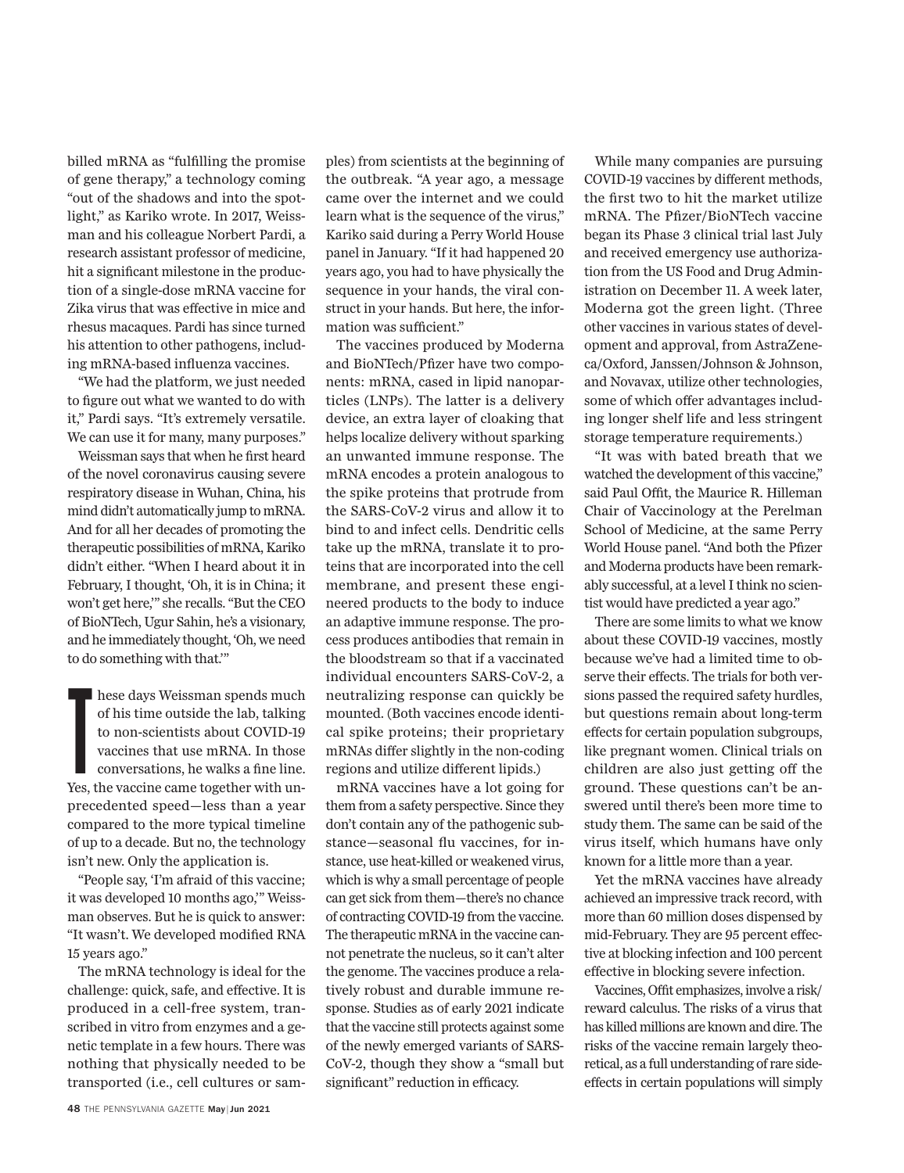billed mRNA as "fulfilling the promise" of gene therapy," a technology coming "out of the shadows and into the spotlight," as Kariko wrote. In 2017, Weissman and his colleague Norbert Pardi, a research assistant professor of medicine, hit a significant milestone in the production of a single-dose mRNA vaccine for Zika virus that was effective in mice and rhesus macaques. Pardi has since turned his attention to other pathogens, including mRNA-based influenza vaccines.

"We had the platform, we just needed to figure out what we wanted to do with it," Pardi says. "It's extremely versatile. We can use it for many, many purposes."

Weissman says that when he first heard of the novel coronavirus causing severe respiratory disease in Wuhan, China, his mind didn't automatically jump to mRNA. And for all her decades of promoting the therapeutic possibilities of mRNA, Kariko didn't either. "When I heard about it in February, I thought, 'Oh, it is in China; it won't get here,'" she recalls. "But the CEO of BioNTech, Ugur Sahin, he's a visionary, and he immediately thought, 'Oh, we need to do something with that.'"

I hese days Weissman spends much<br>of his time outside the lab, talking<br>to non-scientists about COVID-19<br>vaccines that use mRNA. In those<br>conversations, he walks a fine line.<br>Yes, the vaccine came together with unhese days Weissman spends much of his time outside the lab, talking to non-scientists about COVID-19 vaccines that use mRNA. In those conversations, he walks a fine line. precedented speed—less than a year compared to the more typical timeline of up to a decade. But no, the technology isn't new. Only the application is.

"People say, 'I'm afraid of this vaccine; it was developed 10 months ago,'" Weissman observes. But he is quick to answer: "It wasn't. We developed modified RNA 15 years ago."

The mRNA technology is ideal for the challenge: quick, safe, and effective. It is produced in a cell-free system, transcribed in vitro from enzymes and a genetic template in a few hours. There was nothing that physically needed to be transported (i.e., cell cultures or sam-

sequence in your hands, the viral construct in your hands. But here, the information was sufficient." The vaccines produced by Moderna and BioNTech/Pfizer have two components: mRNA, cased in lipid nanoparticles (LNPs). The latter is a delivery

device, an extra layer of cloaking that helps localize delivery without sparking an unwanted immune response. The mRNA encodes a protein analogous to the spike proteins that protrude from the SARS-CoV-2 virus and allow it to bind to and infect cells. Dendritic cells take up the mRNA, translate it to proteins that are incorporated into the cell membrane, and present these engineered products to the body to induce an adaptive immune response. The process produces antibodies that remain in the bloodstream so that if a vaccinated individual encounters SARS-CoV-2, a neutralizing response can quickly be mounted. (Both vaccines encode identical spike proteins; their proprietary mRNAs differ slightly in the non-coding regions and utilize different lipids.)

ples) from scientists at the beginning of the outbreak. "A year ago, a message came over the internet and we could learn what is the sequence of the virus," Kariko said during a Perry World House panel in January. "If it had happened 20 years ago, you had to have physically the

mRNA vaccines have a lot going for them from a safety perspective. Since they don't contain any of the pathogenic substance—seasonal flu vaccines, for instance, use heat-killed or weakened virus, which is why a small percentage of people can get sick from them—there's no chance of contracting COVID-19 from the vaccine. The therapeutic mRNA in the vaccine cannot penetrate the nucleus, so it can't alter the genome. The vaccines produce a relatively robust and durable immune response. Studies as of early 2021 indicate that the vaccine still protects against some of the newly emerged variants of SARS-CoV-2, though they show a "small but significant" reduction in efficacy.

While many companies are pursuing COVID-19 vaccines by different methods, the first two to hit the market utilize mRNA. The Pfizer/BioNTech vaccine began its Phase 3 clinical trial last July and received emergency use authorization from the US Food and Drug Administration on December 11. A week later, Moderna got the green light. (Three other vaccines in various states of development and approval, from AstraZeneca/Oxford, Janssen/Johnson & Johnson, and Novavax, utilize other technologies, some of which offer advantages including longer shelf life and less stringent storage temperature requirements.)

"It was with bated breath that we watched the development of this vaccine," said Paul Offit, the Maurice R. Hilleman Chair of Vaccinology at the Perelman School of Medicine, at the same Perry World House panel. "And both the Pfizer and Moderna products have been remarkably successful, at a level I think no scientist would have predicted a year ago."

There are some limits to what we know about these COVID-19 vaccines, mostly because we've had a limited time to observe their effects. The trials for both versions passed the required safety hurdles, but questions remain about long-term effects for certain population subgroups, like pregnant women. Clinical trials on children are also just getting off the ground. These questions can't be answered until there's been more time to study them. The same can be said of the virus itself, which humans have only known for a little more than a year.

Yet the mRNA vaccines have already achieved an impressive track record, with more than 60 million doses dispensed by mid-February. They are 95 percent effective at blocking infection and 100 percent effective in blocking severe infection.

Vaccines, Offit emphasizes, involve a risk/ reward calculus. The risks of a virus that has killed millions are known and dire. The risks of the vaccine remain largely theoretical, as a full understanding of rare sideeffects in certain populations will simply